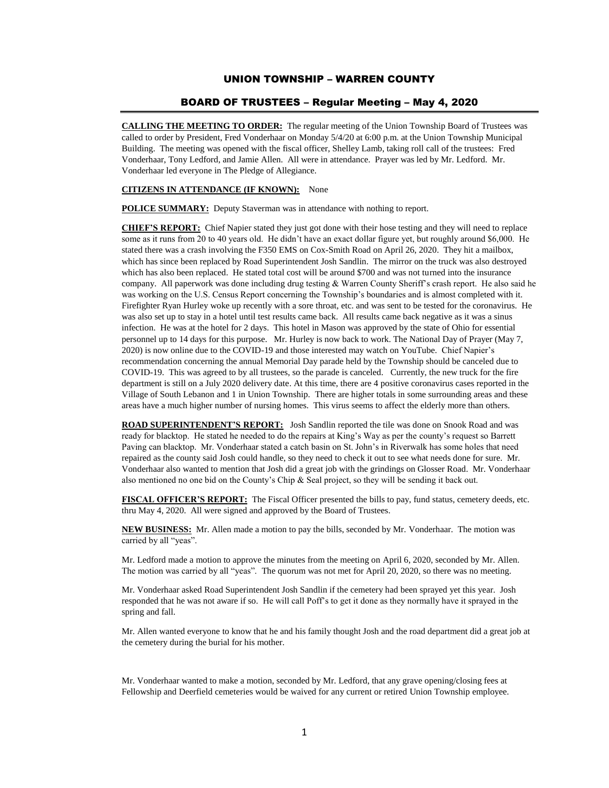# UNION TOWNSHIP – WARREN COUNTY

## BOARD OF TRUSTEES – Regular Meeting – May 4, 2020

**CALLING THE MEETING TO ORDER:** The regular meeting of the Union Township Board of Trustees was called to order by President, Fred Vonderhaar on Monday 5/4/20 at 6:00 p.m. at the Union Township Municipal Building. The meeting was opened with the fiscal officer, Shelley Lamb, taking roll call of the trustees: Fred Vonderhaar, Tony Ledford, and Jamie Allen. All were in attendance. Prayer was led by Mr. Ledford. Mr. Vonderhaar led everyone in The Pledge of Allegiance.

## **CITIZENS IN ATTENDANCE (IF KNOWN):** None

**POLICE SUMMARY:** Deputy Staverman was in attendance with nothing to report.

**CHIEF'S REPORT:** Chief Napier stated they just got done with their hose testing and they will need to replace some as it runs from 20 to 40 years old. He didn't have an exact dollar figure yet, but roughly around \$6,000. He stated there was a crash involving the F350 EMS on Cox-Smith Road on April 26, 2020. They hit a mailbox, which has since been replaced by Road Superintendent Josh Sandlin. The mirror on the truck was also destroyed which has also been replaced. He stated total cost will be around \$700 and was not turned into the insurance company. All paperwork was done including drug testing & Warren County Sheriff's crash report. He also said he was working on the U.S. Census Report concerning the Township's boundaries and is almost completed with it. Firefighter Ryan Hurley woke up recently with a sore throat, etc. and was sent to be tested for the coronavirus. He was also set up to stay in a hotel until test results came back. All results came back negative as it was a sinus infection. He was at the hotel for 2 days. This hotel in Mason was approved by the state of Ohio for essential personnel up to 14 days for this purpose. Mr. Hurley is now back to work. The National Day of Prayer (May 7, 2020) is now online due to the COVID-19 and those interested may watch on YouTube. Chief Napier's recommendation concerning the annual Memorial Day parade held by the Township should be canceled due to COVID-19. This was agreed to by all trustees, so the parade is canceled. Currently, the new truck for the fire department is still on a July 2020 delivery date. At this time, there are 4 positive coronavirus cases reported in the Village of South Lebanon and 1 in Union Township. There are higher totals in some surrounding areas and these areas have a much higher number of nursing homes. This virus seems to affect the elderly more than others.

**ROAD SUPERINTENDENT'S REPORT:** Josh Sandlin reported the tile was done on Snook Road and was ready for blacktop. He stated he needed to do the repairs at King's Way as per the county's request so Barrett Paving can blacktop. Mr. Vonderhaar stated a catch basin on St. John's in Riverwalk has some holes that need repaired as the county said Josh could handle, so they need to check it out to see what needs done for sure. Mr. Vonderhaar also wanted to mention that Josh did a great job with the grindings on Glosser Road. Mr. Vonderhaar also mentioned no one bid on the County's Chip & Seal project, so they will be sending it back out.

**FISCAL OFFICER'S REPORT:** The Fiscal Officer presented the bills to pay, fund status, cemetery deeds, etc. thru May 4, 2020. All were signed and approved by the Board of Trustees.

**NEW BUSINESS:** Mr. Allen made a motion to pay the bills, seconded by Mr. Vonderhaar. The motion was carried by all "yeas".

Mr. Ledford made a motion to approve the minutes from the meeting on April 6, 2020, seconded by Mr. Allen. The motion was carried by all "yeas". The quorum was not met for April 20, 2020, so there was no meeting.

Mr. Vonderhaar asked Road Superintendent Josh Sandlin if the cemetery had been sprayed yet this year. Josh responded that he was not aware if so. He will call Poff's to get it done as they normally have it sprayed in the spring and fall.

Mr. Allen wanted everyone to know that he and his family thought Josh and the road department did a great job at the cemetery during the burial for his mother.

Mr. Vonderhaar wanted to make a motion, seconded by Mr. Ledford, that any grave opening/closing fees at Fellowship and Deerfield cemeteries would be waived for any current or retired Union Township employee.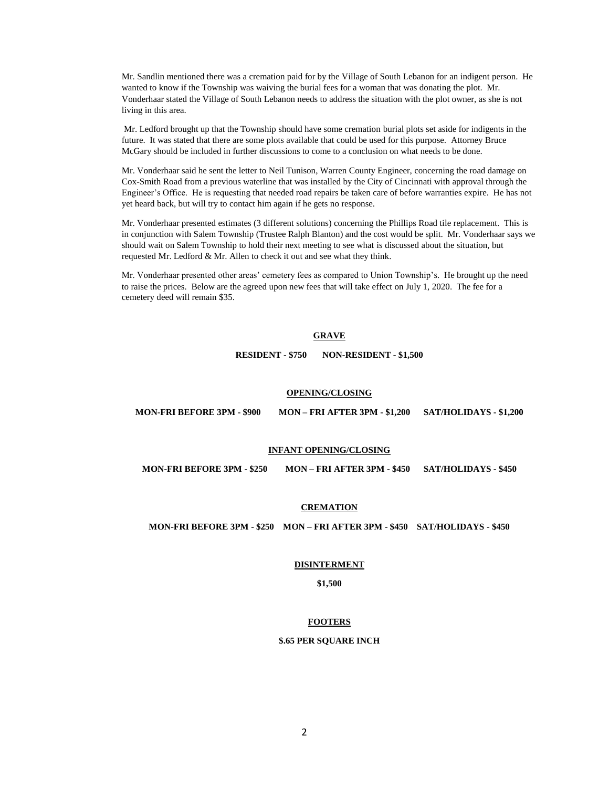Mr. Sandlin mentioned there was a cremation paid for by the Village of South Lebanon for an indigent person. He wanted to know if the Township was waiving the burial fees for a woman that was donating the plot. Mr. Vonderhaar stated the Village of South Lebanon needs to address the situation with the plot owner, as she is not living in this area.

Mr. Ledford brought up that the Township should have some cremation burial plots set aside for indigents in the future. It was stated that there are some plots available that could be used for this purpose. Attorney Bruce McGary should be included in further discussions to come to a conclusion on what needs to be done.

Mr. Vonderhaar said he sent the letter to Neil Tunison, Warren County Engineer, concerning the road damage on Cox-Smith Road from a previous waterline that was installed by the City of Cincinnati with approval through the Engineer's Office. He is requesting that needed road repairs be taken care of before warranties expire. He has not yet heard back, but will try to contact him again if he gets no response.

Mr. Vonderhaar presented estimates (3 different solutions) concerning the Phillips Road tile replacement. This is in conjunction with Salem Township (Trustee Ralph Blanton) and the cost would be split. Mr. Vonderhaar says we should wait on Salem Township to hold their next meeting to see what is discussed about the situation, but requested Mr. Ledford & Mr. Allen to check it out and see what they think.

Mr. Vonderhaar presented other areas' cemetery fees as compared to Union Township's. He brought up the need to raise the prices. Below are the agreed upon new fees that will take effect on July 1, 2020. The fee for a cemetery deed will remain \$35.

## **GRAVE**

**RESIDENT - \$750 NON-RESIDENT - \$1,500**

## **OPENING/CLOSING**

**MON-FRI BEFORE 3PM - \$900 MON – FRI AFTER 3PM - \$1,200 SAT/HOLIDAYS - \$1,200**

## **INFANT OPENING/CLOSING**

**MON-FRI BEFORE 3PM - \$250 MON – FRI AFTER 3PM - \$450 SAT/HOLIDAYS - \$450**

# **CREMATION**

## **MON-FRI BEFORE 3PM - \$250 MON – FRI AFTER 3PM - \$450 SAT/HOLIDAYS - \$450**

#### **DISINTERMENT**

**\$1,500**

## **FOOTERS**

#### **\$.65 PER SQUARE INCH**